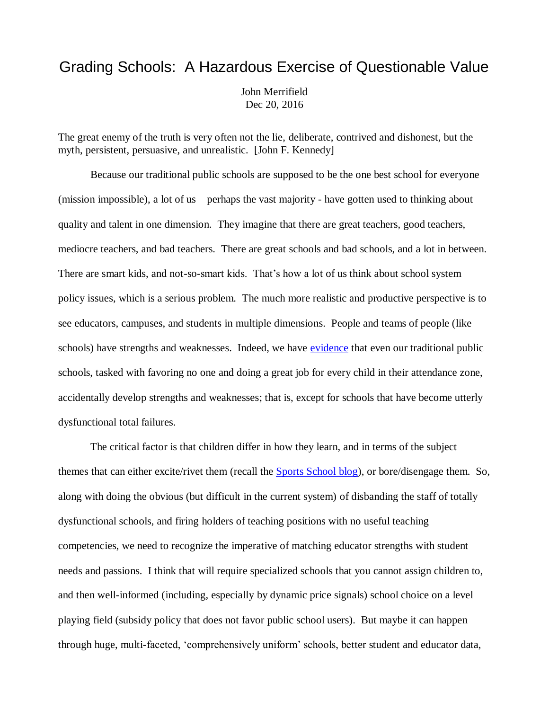## Grading Schools: A Hazardous Exercise of Questionable Value

John Merrifield Dec 20, 2016

[The great enemy of the truth is very often not the lie, deliberate, contrived and dishonest, but the](http://www.brainyquote.com/quotes/quotes/j/johnfkenn125157.html)  [myth, persistent, persuasive,](http://www.brainyquote.com/quotes/quotes/j/johnfkenn125157.html) and unrealistic. [\[John F. Kennedy\]](http://www.brainyquote.com/quotes/authors/j/john_f_kennedy.html)

Because our traditional public schools are supposed to be the one best school for everyone (mission impossible), a lot of us – perhaps the vast majority - have gotten used to thinking about quality and talent in one dimension. They imagine that there are great teachers, good teachers, mediocre teachers, and bad teachers. There are great schools and bad schools, and a lot in between. There are smart kids, and not-so-smart kids. That's how a lot of us think about school system policy issues, which is a serious problem. The much more realistic and productive perspective is to see educators, campuses, and students in multiple dimensions. People and teams of people (like schools) have strengths and weaknesses. Indeed, we have [evidence](http://www.tandfonline.com/doi/full/10.1080/15582159.2012.650099) that even our traditional public schools, tasked with favoring no one and doing a great job for every child in their attendance zone, accidentally develop strengths and weaknesses; that is, except for schools that have become utterly dysfunctional total failures.

The critical factor is that children differ in how they learn, and in terms of the subject themes that can either excite/rivet them (recall the **Sports School blog**), or bore/disengage them. So, along with doing the obvious (but difficult in the current system) of disbanding the staff of totally dysfunctional schools, and firing holders of teaching positions with no useful teaching competencies, we need to recognize the imperative of matching educator strengths with student needs and passions. I think that will require specialized schools that you cannot assign children to, and then well-informed (including, especially by dynamic price signals) school choice on a level playing field (subsidy policy that does not favor public school users). But maybe it can happen through huge, multi-faceted, 'comprehensively uniform' schools, better student and educator data,